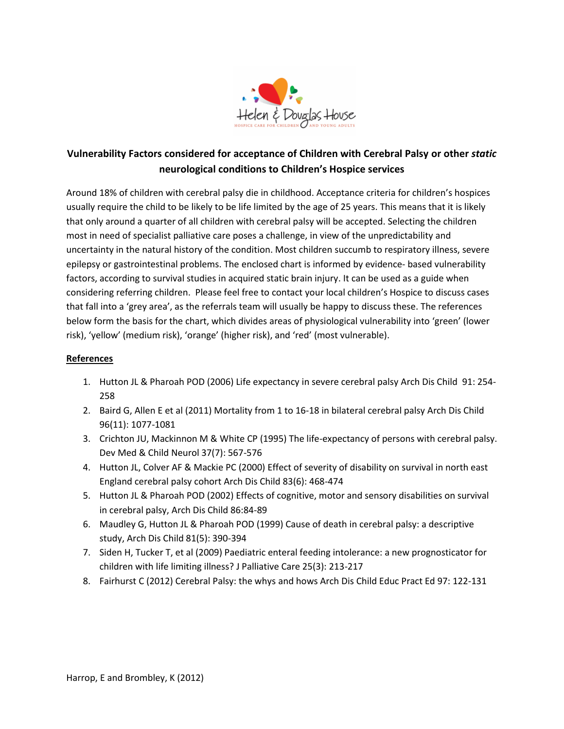

# **Vulnerability Factors considered for acceptance of Children with Cerebral Palsy or other** *static* **neurological conditions to Children's Hospice services**

Around 18% of children with cerebral palsy die in childhood. Acceptance criteria for children's hospices usually require the child to be likely to be life limited by the age of 25 years. This means that it is likely that only around a quarter of all children with cerebral palsy will be accepted. Selecting the children most in need of specialist palliative care poses a challenge, in view of the unpredictability and uncertainty in the natural history of the condition. Most children succumb to respiratory illness, severe epilepsy or gastrointestinal problems. The enclosed chart is informed by evidence- based vulnerability factors, according to survival studies in acquired static brain injury. It can be used as a guide when considering referring children. Please feel free to contact your local children's Hospice to discuss cases that fall into a 'grey area', as the referrals team will usually be happy to discuss these. The references below form the basis for the chart, which divides areas of physiological vulnerability into 'green' (lower risk), 'yellow' (medium risk), 'orange' (higher risk), and 'red' (most vulnerable).

## **References**

- 1. Hutton JL & Pharoah POD (2006) Life expectancy in severe cerebral palsy Arch Dis Child 91: 254- 258
- 2. Baird G, Allen E et al (2011) Mortality from 1 to 16-18 in bilateral cerebral palsy Arch Dis Child 96(11): 1077-1081
- 3. Crichton JU, Mackinnon M & White CP (1995) The life-expectancy of persons with cerebral palsy. Dev Med & Child Neurol 37(7): 567-576
- 4. Hutton JL, Colver AF & Mackie PC (2000) Effect of severity of disability on survival in north east England cerebral palsy cohort Arch Dis Child 83(6): 468-474
- 5. Hutton JL & Pharoah POD (2002) Effects of cognitive, motor and sensory disabilities on survival in cerebral palsy, Arch Dis Child 86:84-89
- 6. Maudley G, Hutton JL & Pharoah POD (1999) Cause of death in cerebral palsy: a descriptive study, Arch Dis Child 81(5): 390-394
- 7. Siden H, Tucker T, et al (2009) Paediatric enteral feeding intolerance: a new prognosticator for children with life limiting illness? J Palliative Care 25(3): 213-217
- 8. Fairhurst C (2012) Cerebral Palsy: the whys and hows Arch Dis Child Educ Pract Ed 97: 122-131